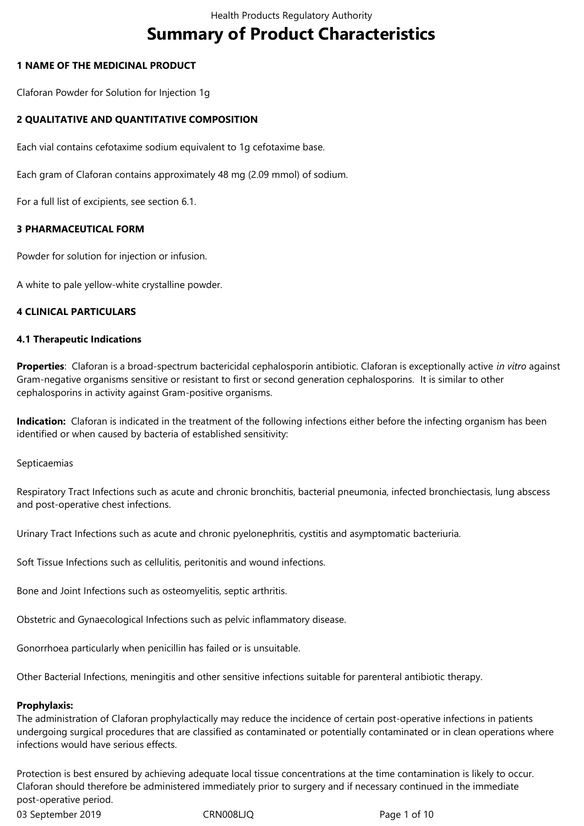# **Summary of Product Characteristics**

# **1 NAME OF THE MEDICINAL PRODUCT**

Claforan Powder for Solution for Injection 1g

# **2 QUALITATIVE AND QUANTITATIVE COMPOSITION**

Each vial contains cefotaxime sodium equivalent to 1g cefotaxime base.

Each gram of Claforan contains approximately 48 mg (2.09 mmol) of sodium.

For a full list of excipients, see section 6.1.

# **3 PHARMACEUTICAL FORM**

Powder for solution for injection or infusion.

A white to pale yellow-white crystalline powder.

# **4 CLINICAL PARTICULARS**

## **4.1 Therapeutic Indications**

**Properties**: Claforan is a broad-spectrum bactericidal cephalosporin antibiotic. Claforan is exceptionally active *in vitro* against Gram-negative organisms sensitive or resistant to first or second generation cephalosporins. It is similar to other cephalosporins in activity against Gram-positive organisms.

**Indication:** Claforan is indicated in the treatment of the following infections either before the infecting organism has been identified or when caused by bacteria of established sensitivity:

Septicaemias

Respiratory Tract Infections such as acute and chronic bronchitis, bacterial pneumonia, infected bronchiectasis, lung abscess and post-operative chest infections.

Urinary Tract Infections such as acute and chronic pyelonephritis, cystitis and asymptomatic bacteriuria.

Soft Tissue Infections such as cellulitis, peritonitis and wound infections.

Bone and Joint Infections such as osteomyelitis, septic arthritis.

Obstetric and Gynaecological Infections such as pelvic inflammatory disease.

Gonorrhoea particularly when penicillin has failed or is unsuitable.

Other Bacterial Infections, meningitis and other sensitive infections suitable for parenteral antibiotic therapy.

## **Prophylaxis:**

The administration of Claforan prophylactically may reduce the incidence of certain post-operative infections in patients undergoing surgical procedures that are classified as contaminated or potentially contaminated or in clean operations where infections would have serious effects.

Protection is best ensured by achieving adequate local tissue concentrations at the time contamination is likely to occur. Claforan should therefore be administered immediately prior to surgery and if necessary continued in the immediate post-operative period.

03 September 2019 CRN008LJQ Page 1 of 10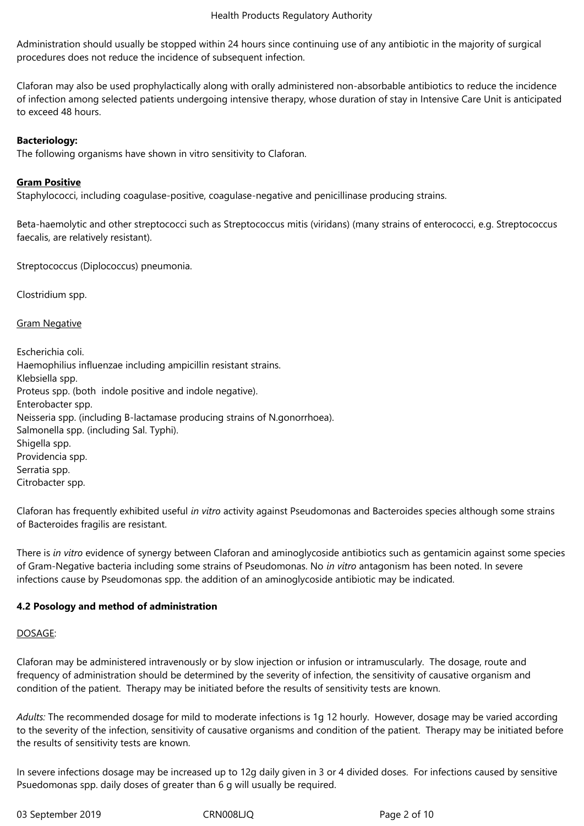Administration should usually be stopped within 24 hours since continuing use of any antibiotic in the majority of surgical procedures does not reduce the incidence of subsequent infection.

Claforan may also be used prophylactically along with orally administered non-absorbable antibiotics to reduce the incidence of infection among selected patients undergoing intensive therapy, whose duration of stay in Intensive Care Unit is anticipated to exceed 48 hours.

# **Bacteriology:**

The following organisms have shown in vitro sensitivity to Claforan.

# **Gram Positive**

Staphylococci, including coagulase-positive, coagulase-negative and penicillinase producing strains.

Beta-haemolytic and other streptococci such as Streptococcus mitis (viridans) (many strains of enterococci, e.g. Streptococcus faecalis, are relatively resistant).

Streptococcus (Diplococcus) pneumonia.

Clostridium spp.

Gram Negative

Escherichia coli. Haemophilius influenzae including ampicillin resistant strains. Klebsiella spp. Proteus spp. (both indole positive and indole negative). Enterobacter spp. Neisseria spp. (including B-lactamase producing strains of N.gonorrhoea). Salmonella spp. (including Sal. Typhi). Shigella spp. Providencia spp. Serratia spp. Citrobacter spp.

Claforan has frequently exhibited useful *in vitro* activity against Pseudomonas and Bacteroides species although some strains of Bacteroides fragilis are resistant.

There is *in vitro* evidence of synergy between Claforan and aminoglycoside antibiotics such as gentamicin against some species of Gram-Negative bacteria including some strains of Pseudomonas. No *in vitro* antagonism has been noted. In severe infections cause by Pseudomonas spp. the addition of an aminoglycoside antibiotic may be indicated.

## **4.2 Posology and method of administration**

## DOSAGE:

Claforan may be administered intravenously or by slow injection or infusion or intramuscularly. The dosage, route and frequency of administration should be determined by the severity of infection, the sensitivity of causative organism and condition of the patient. Therapy may be initiated before the results of sensitivity tests are known.

*Adults:* The recommended dosage for mild to moderate infections is 1g 12 hourly. However, dosage may be varied according to the severity of the infection, sensitivity of causative organisms and condition of the patient. Therapy may be initiated before the results of sensitivity tests are known.

In severe infections dosage may be increased up to 12g daily given in 3 or 4 divided doses. For infections caused by sensitive Psuedomonas spp. daily doses of greater than 6 g will usually be required.

03 September 2019 CRN008LJQ Page 2 of 10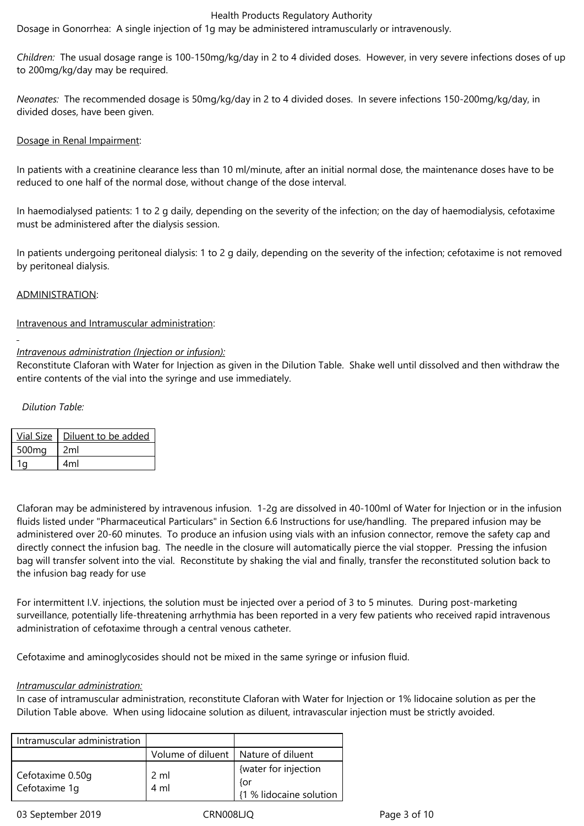Dosage in Gonorrhea: A single injection of 1g may be administered intramuscularly or intravenously.

*Children:* The usual dosage range is 100-150mg/kg/day in 2 to 4 divided doses. However, in very severe infections doses of up to 200mg/kg/day may be required.

*Neonates:* The recommended dosage is 50mg/kg/day in 2 to 4 divided doses. In severe infections 150-200mg/kg/day, in divided doses, have been given.

## Dosage in Renal Impairment:

In patients with a creatinine clearance less than 10 ml/minute, after an initial normal dose, the maintenance doses have to be reduced to one half of the normal dose, without change of the dose interval.

In haemodialysed patients: 1 to 2 g daily, depending on the severity of the infection; on the day of haemodialysis, cefotaxime must be administered after the dialysis session.

In patients undergoing peritoneal dialysis: 1 to 2 g daily, depending on the severity of the infection; cefotaxime is not removed by peritoneal dialysis.

## ADMINISTRATION:

## Intravenous and Intramuscular administration:

# *Intravenous administration (Injection or infusion):*

Reconstitute Claforan with Water for Injection as given in the Dilution Table. Shake well until dissolved and then withdraw the entire contents of the vial into the syringe and use immediately.

# *Dilution Table:*

|                   | Vial Size   Diluent to be added |
|-------------------|---------------------------------|
| 500 <sub>mg</sub> | 2ml                             |
|                   | 4ml                             |

Claforan may be administered by intravenous infusion. 1-2g are dissolved in 40-100ml of Water for Injection or in the infusion fluids listed under "Pharmaceutical Particulars" in Section 6.6 Instructions for use/handling. The prepared infusion may be administered over 20-60 minutes. To produce an infusion using vials with an infusion connector, remove the safety cap and directly connect the infusion bag. The needle in the closure will automatically pierce the vial stopper. Pressing the infusion bag will transfer solvent into the vial. Reconstitute by shaking the vial and finally, transfer the reconstituted solution back to the infusion bag ready for use

For intermittent I.V. injections, the solution must be injected over a period of 3 to 5 minutes. During post-marketing surveillance, potentially life-threatening arrhythmia has been reported in a very few patients who received rapid intravenous administration of cefotaxime through a central venous catheter.

Cefotaxime and aminoglycosides should not be mixed in the same syringe or infusion fluid.

## *Intramuscular administration:*

In case of intramuscular administration, reconstitute Claforan with Water for Injection or 1% lidocaine solution as per the Dilution Table above. When using lidocaine solution as diluent, intravascular injection must be strictly avoided.

| Intramuscular administration      |                                       |                                                        |
|-----------------------------------|---------------------------------------|--------------------------------------------------------|
|                                   | Volume of diluent   Nature of diluent |                                                        |
| Cefotaxime 0.50q<br>Cefotaxime 1q | 2 ml<br>4 ml                          | {water for injection<br>{or<br>{1 % lidocaine solution |

03 September 2019 CRN008LJQ Page 3 of 10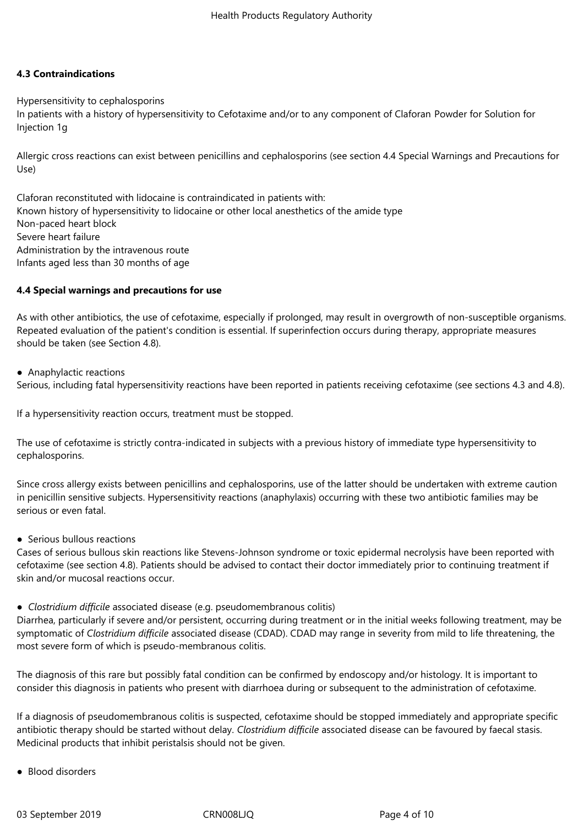# **4.3 Contraindications**

Hypersensitivity to cephalosporins

In patients with a history of hypersensitivity to Cefotaxime and/or to any component of Claforan Powder for Solution for Injection 1g

Allergic cross reactions can exist between penicillins and cephalosporins (see section 4.4 Special Warnings and Precautions for Use)

Claforan reconstituted with lidocaine is contraindicated in patients with: Known history of hypersensitivity to lidocaine or other local anesthetics of the amide type Non-paced heart block Severe heart failure Administration by the intravenous route Infants aged less than 30 months of age

# **4.4 Special warnings and precautions for use**

As with other antibiotics, the use of cefotaxime, especially if prolonged, may result in overgrowth of non-susceptible organisms. Repeated evaluation of the patient's condition is essential. If superinfection occurs during therapy, appropriate measures should be taken (see Section 4.8).

● Anaphylactic reactions

Serious, including fatal hypersensitivity reactions have been reported in patients receiving cefotaxime (see sections 4.3 and 4.8).

If a hypersensitivity reaction occurs, treatment must be stopped.

The use of cefotaxime is strictly contra-indicated in subjects with a previous history of immediate type hypersensitivity to cephalosporins.

Since cross allergy exists between penicillins and cephalosporins, use of the latter should be undertaken with extreme caution in penicillin sensitive subjects. Hypersensitivity reactions (anaphylaxis) occurring with these two antibiotic families may be serious or even fatal.

● Serious bullous reactions

Cases of serious bullous skin reactions like Stevens-Johnson syndrome or toxic epidermal necrolysis have been reported with cefotaxime (see section 4.8). Patients should be advised to contact their doctor immediately prior to continuing treatment if skin and/or mucosal reactions occur.

*● Clostridium difficile* associated disease (e.g. pseudomembranous colitis)

Diarrhea, particularly if severe and/or persistent, occurring during treatment or in the initial weeks following treatment, may be symptomatic of *Clostridium difficile* associated disease (CDAD). CDAD may range in severity from mild to life threatening, the most severe form of which is pseudo-membranous colitis.

The diagnosis of this rare but possibly fatal condition can be confirmed by endoscopy and/or histology. It is important to consider this diagnosis in patients who present with diarrhoea during or subsequent to the administration of cefotaxime.

If a diagnosis of pseudomembranous colitis is suspected, cefotaxime should be stopped immediately and appropriate specific antibiotic therapy should be started without delay. *Clostridium difficile* associated disease can be favoured by faecal stasis. Medicinal products that inhibit peristalsis should not be given.

● Blood disorders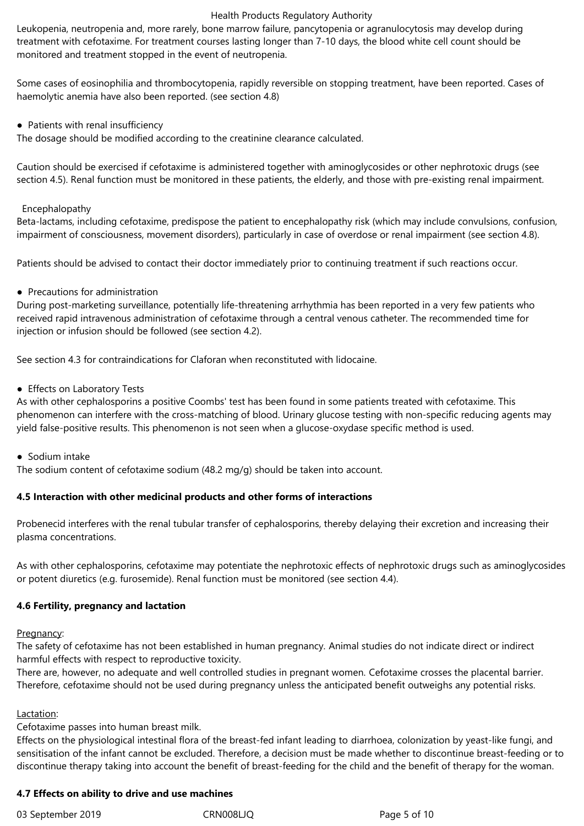Leukopenia, neutropenia and, more rarely, bone marrow failure, pancytopenia or agranulocytosis may develop during treatment with cefotaxime. For treatment courses lasting longer than 7-10 days, the blood white cell count should be monitored and treatment stopped in the event of neutropenia.

Some cases of eosinophilia and thrombocytopenia, rapidly reversible on stopping treatment, have been reported. Cases of haemolytic anemia have also been reported. (see section 4.8)

• Patients with renal insufficiency

The dosage should be modified according to the creatinine clearance calculated.

Caution should be exercised if cefotaxime is administered together with aminoglycosides or other nephrotoxic drugs (see section 4.5). Renal function must be monitored in these patients, the elderly, and those with pre-existing renal impairment.

## Encephalopathy

Beta-lactams, including cefotaxime, predispose the patient to encephalopathy risk (which may include convulsions, confusion, impairment of consciousness, movement disorders), particularly in case of overdose or renal impairment (see section 4.8).

Patients should be advised to contact their doctor immediately prior to continuing treatment if such reactions occur.

● Precautions for administration

During post-marketing surveillance, potentially life-threatening arrhythmia has been reported in a very few patients who received rapid intravenous administration of cefotaxime through a central venous catheter. The recommended time for injection or infusion should be followed (see section 4.2).

See section 4.3 for contraindications for Claforan when reconstituted with lidocaine.

● Effects on Laboratory Tests

As with other cephalosporins a positive Coombs' test has been found in some patients treated with cefotaxime. This phenomenon can interfere with the cross-matching of blood. Urinary glucose testing with non-specific reducing agents may yield false-positive results. This phenomenon is not seen when a glucose-oxydase specific method is used.

● Sodium intake

The sodium content of cefotaxime sodium (48.2 mg/g) should be taken into account.

# **4.5 Interaction with other medicinal products and other forms of interactions**

Probenecid interferes with the renal tubular transfer of cephalosporins, thereby delaying their excretion and increasing their plasma concentrations.

As with other cephalosporins, cefotaxime may potentiate the nephrotoxic effects of nephrotoxic drugs such as aminoglycosides or potent diuretics (e.g. furosemide). Renal function must be monitored (see section 4.4).

## **4.6 Fertility, pregnancy and lactation**

Pregnancy:

The safety of cefotaxime has not been established in human pregnancy. Animal studies do not indicate direct or indirect harmful effects with respect to reproductive toxicity.

There are, however, no adequate and well controlled studies in pregnant women. Cefotaxime crosses the placental barrier. Therefore, cefotaxime should not be used during pregnancy unless the anticipated benefit outweighs any potential risks.

## Lactation:

## Cefotaxime passes into human breast milk.

Effects on the physiological intestinal flora of the breast-fed infant leading to diarrhoea, colonization by yeast-like fungi, and sensitisation of the infant cannot be excluded. Therefore, a decision must be made whether to discontinue breast-feeding or to discontinue therapy taking into account the benefit of breast-feeding for the child and the benefit of therapy for the woman.

# **4.7 Effects on ability to drive and use machines**

03 September 2019 CRN008LJQ Page 5 of 10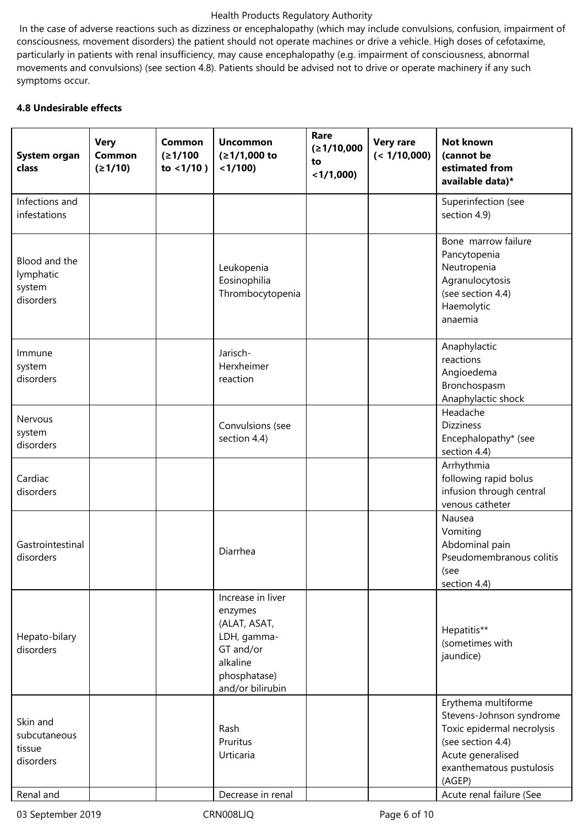In the case of adverse reactions such as dizziness or encephalopathy (which may include convulsions, confusion, impairment of consciousness, movement disorders) the patient should not operate machines or drive a vehicle. High doses of cefotaxime, particularly in patients with renal insufficiency, may cause encephalopathy (e.g. impairment of consciousness, abnormal movements and convulsions) (see section 4.8). Patients should be advised not to drive or operate machinery if any such symptoms occur.

# **4.8 Undesirable effects**

| System organ<br>class                             | <b>Very</b><br>Common<br>(21/10) | <b>Common</b><br>(21/100)<br>to $<1/10$ ) | <b>Uncommon</b><br>$(≥1/1,000$ to<br>$<$ 1/100)                                                                          | Rare<br>(≥1/10,000<br>to<br>$<$ 1/1,000) | <b>Very rare</b><br>(< 1/10,000) | <b>Not known</b><br>(cannot be<br>estimated from<br>available data)*                                                                                          |
|---------------------------------------------------|----------------------------------|-------------------------------------------|--------------------------------------------------------------------------------------------------------------------------|------------------------------------------|----------------------------------|---------------------------------------------------------------------------------------------------------------------------------------------------------------|
| Infections and<br>infestations                    |                                  |                                           |                                                                                                                          |                                          |                                  | Superinfection (see<br>section 4.9)                                                                                                                           |
| Blood and the<br>lymphatic<br>system<br>disorders |                                  |                                           | Leukopenia<br>Eosinophilia<br>Thrombocytopenia                                                                           |                                          |                                  | Bone marrow failure<br>Pancytopenia<br>Neutropenia<br>Agranulocytosis<br>(see section 4.4)<br>Haemolytic<br>anaemia                                           |
| Immune<br>system<br>disorders                     |                                  |                                           | Jarisch-<br>Herxheimer<br>reaction                                                                                       |                                          |                                  | Anaphylactic<br>reactions<br>Angioedema<br>Bronchospasm<br>Anaphylactic shock                                                                                 |
| Nervous<br>system<br>disorders                    |                                  |                                           | Convulsions (see<br>section 4.4)                                                                                         |                                          |                                  | Headache<br><b>Dizziness</b><br>Encephalopathy* (see<br>section 4.4)                                                                                          |
| Cardiac<br>disorders                              |                                  |                                           |                                                                                                                          |                                          |                                  | Arrhythmia<br>following rapid bolus<br>infusion through central<br>venous catheter                                                                            |
| Gastrointestinal<br>disorders                     |                                  |                                           | Diarrhea                                                                                                                 |                                          |                                  | Nausea<br>Vomiting<br>Abdominal pain<br>Pseudomembranous colitis<br>(see<br>section 4.4)                                                                      |
| Hepato-bilary<br>disorders                        |                                  |                                           | Increase in liver<br>enzymes<br>(ALAT, ASAT,<br>LDH, gamma-<br>GT and/or<br>alkaline<br>phosphatase)<br>and/or bilirubin |                                          |                                  | Hepatitis**<br>(sometimes with<br>jaundice)                                                                                                                   |
| Skin and<br>subcutaneous<br>tissue<br>disorders   |                                  |                                           | Rash<br>Pruritus<br>Urticaria                                                                                            |                                          |                                  | Erythema multiforme<br>Stevens-Johnson syndrome<br>Toxic epidermal necrolysis<br>(see section 4.4)<br>Acute generalised<br>exanthematous pustulosis<br>(AGEP) |
| Renal and                                         |                                  |                                           | Decrease in renal                                                                                                        |                                          |                                  | Acute renal failure (See                                                                                                                                      |

03 September 2019 CRN008LJQ Page 6 of 10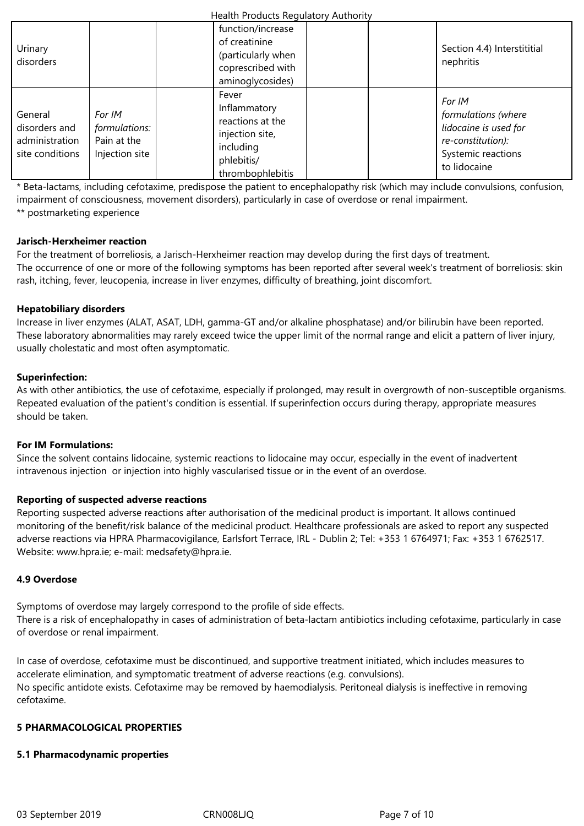| Urinary<br>disorders                                          |                                                          |                                  | function/increase<br>of creatinine<br>(particularly when<br>coprescribed with<br>aminoglycosides) | Section 4.4) Interstititial<br>nephritis                                                                          |
|---------------------------------------------------------------|----------------------------------------------------------|----------------------------------|---------------------------------------------------------------------------------------------------|-------------------------------------------------------------------------------------------------------------------|
| General<br>disorders and<br>administration<br>site conditions | For IM<br>formulations:<br>Pain at the<br>Injection site | Fever<br>including<br>phlebitis/ | Inflammatory<br>reactions at the<br>injection site,<br>thrombophlebitis                           | For IM<br>formulations (where<br>lidocaine is used for<br>re-constitution):<br>Systemic reactions<br>to lidocaine |

\* Beta-lactams, including cefotaxime, predispose the patient to encephalopathy risk (which may include convulsions, confusion, impairment of consciousness, movement disorders), particularly in case of overdose or renal impairment. \*\* postmarketing experience

# **Jarisch-Herxheimer reaction**

For the treatment of borreliosis, a Jarisch-Herxheimer reaction may develop during the first days of treatment. The occurrence of one or more of the following symptoms has been reported after several week's treatment of borreliosis: skin rash, itching, fever, leucopenia, increase in liver enzymes, difficulty of breathing, joint discomfort.

# **Hepatobiliary disorders**

Increase in liver enzymes (ALAT, ASAT, LDH, gamma-GT and/or alkaline phosphatase) and/or bilirubin have been reported. These laboratory abnormalities may rarely exceed twice the upper limit of the normal range and elicit a pattern of liver injury, usually cholestatic and most often asymptomatic.

## **Superinfection:**

As with other antibiotics, the use of cefotaxime, especially if prolonged, may result in overgrowth of non-susceptible organisms. Repeated evaluation of the patient's condition is essential. If superinfection occurs during therapy, appropriate measures should be taken.

## **For IM Formulations:**

Since the solvent contains lidocaine, systemic reactions to lidocaine may occur, especially in the event of inadvertent intravenous injection or injection into highly vascularised tissue or in the event of an overdose.

## **Reporting of suspected adverse reactions**

Reporting suspected adverse reactions after authorisation of the medicinal product is important. It allows continued monitoring of the benefit/risk balance of the medicinal product. Healthcare professionals are asked to report any suspected adverse reactions via HPRA Pharmacovigilance, Earlsfort Terrace, IRL - Dublin 2; Tel: +353 1 6764971; Fax: +353 1 6762517. Website: www.hpra.ie; e-mail: medsafety@hpra.ie.

## **4.9 Overdose**

Symptoms of overdose may largely correspond to the profile of side effects. There is a risk of encephalopathy in cases of administration of beta-lactam antibiotics including cefotaxime, particularly in case of overdose or renal impairment.

In case of overdose, cefotaxime must be discontinued, and supportive treatment initiated, which includes measures to accelerate elimination, and symptomatic treatment of adverse reactions (e.g. convulsions). No specific antidote exists. Cefotaxime may be removed by haemodialysis. Peritoneal dialysis is ineffective in removing cefotaxime.

# **5 PHARMACOLOGICAL PROPERTIES**

## **5.1 Pharmacodynamic properties**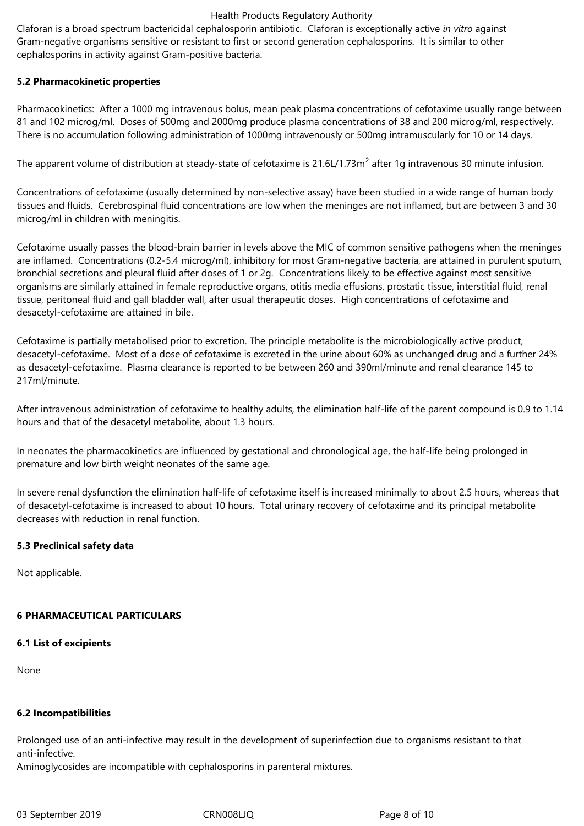Claforan is a broad spectrum bactericidal cephalosporin antibiotic. Claforan is exceptionally active *in vitro* against Gram-negative organisms sensitive or resistant to first or second generation cephalosporins. It is similar to other cephalosporins in activity against Gram-positive bacteria.

## **5.2 Pharmacokinetic properties**

Pharmacokinetics: After a 1000 mg intravenous bolus, mean peak plasma concentrations of cefotaxime usually range between 81 and 102 microg/ml. Doses of 500mg and 2000mg produce plasma concentrations of 38 and 200 microg/ml, respectively. There is no accumulation following administration of 1000mg intravenously or 500mg intramuscularly for 10 or 14 days.

The apparent volume of distribution at steady-state of cefotaxime is 21.6L/1.73m<sup>2</sup> after 1g intravenous 30 minute infusion.

Concentrations of cefotaxime (usually determined by non-selective assay) have been studied in a wide range of human body tissues and fluids. Cerebrospinal fluid concentrations are low when the meninges are not inflamed, but are between 3 and 30 microg/ml in children with meningitis.

Cefotaxime usually passes the blood-brain barrier in levels above the MIC of common sensitive pathogens when the meninges are inflamed. Concentrations (0.2-5.4 microg/ml), inhibitory for most Gram-negative bacteria, are attained in purulent sputum, bronchial secretions and pleural fluid after doses of 1 or 2g. Concentrations likely to be effective against most sensitive organisms are similarly attained in female reproductive organs, otitis media effusions, prostatic tissue, interstitial fluid, renal tissue, peritoneal fluid and gall bladder wall, after usual therapeutic doses. High concentrations of cefotaxime and desacetyl-cefotaxime are attained in bile.

Cefotaxime is partially metabolised prior to excretion. The principle metabolite is the microbiologically active product, desacetyl-cefotaxime. Most of a dose of cefotaxime is excreted in the urine about 60% as unchanged drug and a further 24% as desacetyl-cefotaxime. Plasma clearance is reported to be between 260 and 390ml/minute and renal clearance 145 to 217ml/minute.

After intravenous administration of cefotaxime to healthy adults, the elimination half-life of the parent compound is 0.9 to 1.14 hours and that of the desacetyl metabolite, about 1.3 hours.

In neonates the pharmacokinetics are influenced by gestational and chronological age, the half-life being prolonged in premature and low birth weight neonates of the same age.

In severe renal dysfunction the elimination half-life of cefotaxime itself is increased minimally to about 2.5 hours, whereas that of desacetyl-cefotaxime is increased to about 10 hours. Total urinary recovery of cefotaxime and its principal metabolite decreases with reduction in renal function.

# **5.3 Preclinical safety data**

Not applicable.

# **6 PHARMACEUTICAL PARTICULARS**

# **6.1 List of excipients**

None

# **6.2 Incompatibilities**

Prolonged use of an anti-infective may result in the development of superinfection due to organisms resistant to that anti-infective.

Aminoglycosides are incompatible with cephalosporins in parenteral mixtures.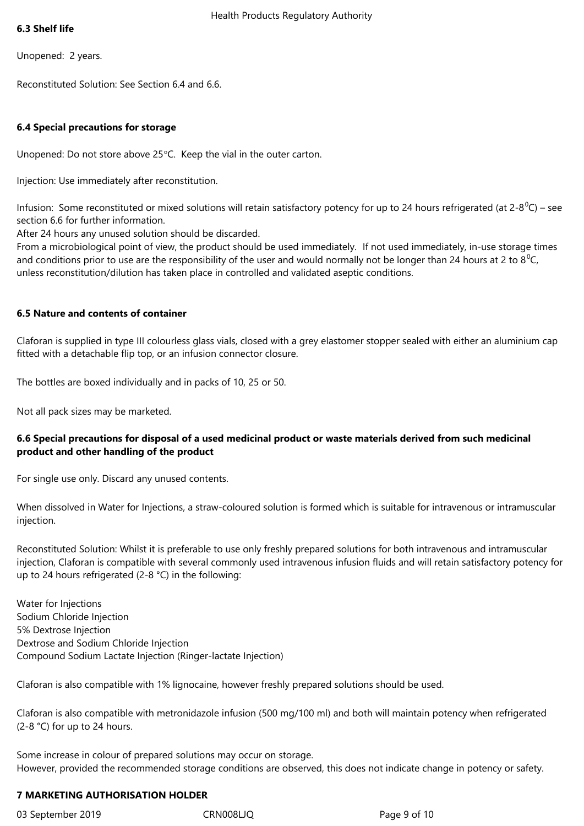#### **6.3 Shelf life**

Unopened: 2 years.

Reconstituted Solution: See Section 6.4 and 6.6.

## **6.4 Special precautions for storage**

Unopened: Do not store above 25°C. Keep the vial in the outer carton.

Injection: Use immediately after reconstitution.

Infusion: Some reconstituted or mixed solutions will retain satisfactory potency for up to 24 hours refrigerated (at 2-8<sup>0</sup>C) – see section 6.6 for further information.

After 24 hours any unused solution should be discarded.

From a microbiological point of view, the product should be used immediately. If not used immediately, in-use storage times and conditions prior to use are the responsibility of the user and would normally not be longer than 24 hours at 2 to  $8^{\circ}C$ , unless reconstitution/dilution has taken place in controlled and validated aseptic conditions.

## **6.5 Nature and contents of container**

Claforan is supplied in type III colourless glass vials, closed with a grey elastomer stopper sealed with either an aluminium cap fitted with a detachable flip top, or an infusion connector closure.

The bottles are boxed individually and in packs of 10, 25 or 50.

Not all pack sizes may be marketed.

# **6.6 Special precautions for disposal of a used medicinal product or waste materials derived from such medicinal product and other handling of the product**

For single use only. Discard any unused contents.

When dissolved in Water for Injections, a straw-coloured solution is formed which is suitable for intravenous or intramuscular injection.

Reconstituted Solution: Whilst it is preferable to use only freshly prepared solutions for both intravenous and intramuscular injection, Claforan is compatible with several commonly used intravenous infusion fluids and will retain satisfactory potency for up to 24 hours refrigerated (2-8 °C) in the following:

Water for Injections Sodium Chloride Injection 5% Dextrose Injection Dextrose and Sodium Chloride Injection Compound Sodium Lactate Injection (Ringer-lactate Injection)

Claforan is also compatible with 1% lignocaine, however freshly prepared solutions should be used.

Claforan is also compatible with metronidazole infusion (500 mg/100 ml) and both will maintain potency when refrigerated (2-8 °C) for up to 24 hours.

Some increase in colour of prepared solutions may occur on storage. However, provided the recommended storage conditions are observed, this does not indicate change in potency or safety.

## **7 MARKETING AUTHORISATION HOLDER**

03 September 2019 CRN008LJQ Page 9 of 10